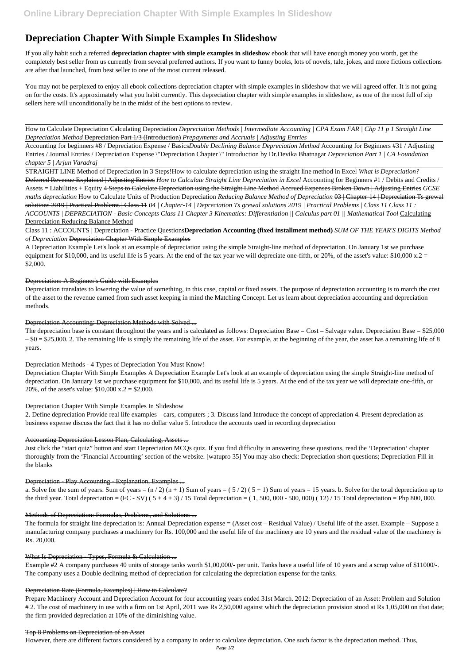# **Depreciation Chapter With Simple Examples In Slideshow**

If you ally habit such a referred **depreciation chapter with simple examples in slideshow** ebook that will have enough money you worth, get the completely best seller from us currently from several preferred authors. If you want to funny books, lots of novels, tale, jokes, and more fictions collections are after that launched, from best seller to one of the most current released.

You may not be perplexed to enjoy all ebook collections depreciation chapter with simple examples in slideshow that we will agreed offer. It is not going on for the costs. It's approximately what you habit currently. This depreciation chapter with simple examples in slideshow, as one of the most full of zip sellers here will unconditionally be in the midst of the best options to review.

How to Calculate Depreciation Calculating Depreciation *Depreciation Methods | Intermediate Accounting | CPA Exam FAR | Chp 11 p 1 Straight Line Depreciation Method* Depreciation Part 1/3 (Introduction) *Prepayments and Accruals | Adjusting Entries*

Accounting for beginners #8 / Depreciation Expense / Basics*Double Declining Balance Depreciation Method* Accounting for Beginners #31 / Adjusting Entries / Journal Entries / Depreciation Expense \"Depreciation Chapter \" Introduction by Dr.Devika Bhatnagar *Depreciation Part 1 | CA Foundation chapter 5 | Arjun Varadraj*

The depreciation base is constant throughout the years and is calculated as follows: Depreciation Base =  $Cost - Salvage$  value. Depreciation Base =  $$25,000$  $-$  \$0 = \$25,000. 2. The remaining life is simply the remaining life of the asset. For example, at the beginning of the year, the asset has a remaining life of 8 years.

STRAIGHT LINE Method of Depreciation in 3 Steps!How to calculate depreciation using the straight line method in Excel *What is Depreciation?* Deferred Revenue Explained | Adjusting Entries *How to Calculate Straight Line Depreciation in Excel* Accounting for Beginners #1 / Debits and Credits / Assets = Liabilities + Equity 4 Steps to Calculate Depreciation using the Straight Line Method Accrued Expenses Broken Down | Adjusting Entries *GCSE maths depreciation* How to Calculate Units of Production Depreciation *Reducing Balance Method of Depreciation* 03 | Chapter-14 | Depreciation Ts grewal solutions 2019 | Practical Problems | Class 11 *04 | Chapter-14 | Depreciation Ts grewal solutions 2019 | Practical Problems | Class 11 Class 11 : ACCOUNTS | DEPRECIATION - Basic Concepts Class 11 Chapter 3 Kinematics: Differentiation || Calculus part 01 || Mathematical Tool* Calculating Depreciation Reducing Balance Method

Class 11 : ACCOUNTS | Depreciation - Practice Questions**Depreciation Accounting (fixed installment method)** *SUM OF THE YEAR'S DIGITS Method of Depreciation* Depreciation Chapter With Simple Examples

A Depreciation Example Let's look at an example of depreciation using the simple Straight-line method of depreciation. On January 1st we purchase equipment for \$10,000, and its useful life is 5 years. At the end of the tax year we will depreciate one-fifth, or 20%, of the asset's value: \$10,000 x.2 = \$2,000.

### Depreciation: A Beginner's Guide with Examples

Depreciation translates to lowering the value of something, in this case, capital or fixed assets. The purpose of depreciation accounting is to match the cost of the asset to the revenue earned from such asset keeping in mind the Matching Concept. Let us learn about depreciation accounting and depreciation methods.

# Depreciation Accounting: Depreciation Methods with Solved ...

# Depreciation Methods - 4 Types of Depreciation You Must Know!

Depreciation Chapter With Simple Examples A Depreciation Example Let's look at an example of depreciation using the simple Straight-line method of depreciation. On January 1st we purchase equipment for \$10,000, and its useful life is 5 years. At the end of the tax year we will depreciate one-fifth, or 20%, of the asset's value: \$10,000 x.2 = \$2,000.

### Depreciation Chapter With Simple Examples In Slideshow

2. Define depreciation Provide real life examples – cars, computers ; 3. Discuss land Introduce the concept of appreciation 4. Present depreciation as business expense discuss the fact that it has no dollar value 5. Introduce the accounts used in recording depreciation

# Accounting Depreciation Lesson Plan, Calculating, Assets ...

Just click the "start quiz" button and start Depreciation MCQs quiz. If you find difficulty in answering these questions, read the 'Depreciation' chapter thoroughly from the 'Financial Accounting' section of the website. [watupro 35] You may also check: Depreciation short questions; Depreciation Fill in the blanks

### Depreciation - Play Accounting - Explanation, Examples ...

a. Solve for the sum of years. Sum of years =  $(n/2)$   $(n + 1)$  Sum of years =  $(5/2)$   $(5 + 1)$  Sum of years = 15 years. b. Solve for the total depreciation up to the third year. Total depreciation =  $(FC - SV) (5 + 4 + 3) / 15$  Total depreciation =  $(1, 500, 000 - 500, 000) (12) / 15$  Total depreciation = Php 800, 000.

#### Methods of Depreciation: Formulas, Problems, and Solutions ...

The formula for straight line depreciation is: Annual Depreciation expense = (Asset cost – Residual Value) / Useful life of the asset. Example – Suppose a manufacturing company purchases a machinery for Rs. 100,000 and the useful life of the machinery are 10 years and the residual value of the machinery is Rs. 20,000.

#### What Is Depreciation - Types, Formula & Calculation ...

Example #2 A company purchases 40 units of storage tanks worth \$1,00,000/- per unit. Tanks have a useful life of 10 years and a scrap value of \$11000/-. The company uses a Double declining method of depreciation for calculating the depreciation expense for the tanks.

#### Depreciation Rate (Formula, Examples) | How to Calculate?

Prepare Machinery Account and Depreciation Account for four accounting years ended 31st March. 2012: Depreciation of an Asset: Problem and Solution # 2. The cost of machinery in use with a firm on 1st April, 2011 was Rs 2,50,000 against which the depreciation provision stood at Rs 1,05,000 on that date; the firm provided depreciation at 10% of the diminishing value.

#### Top 8 Problems on Depreciation of an Asset

However, there are different factors considered by a company in order to calculate depreciation. One such factor is the depreciation method. Thus,